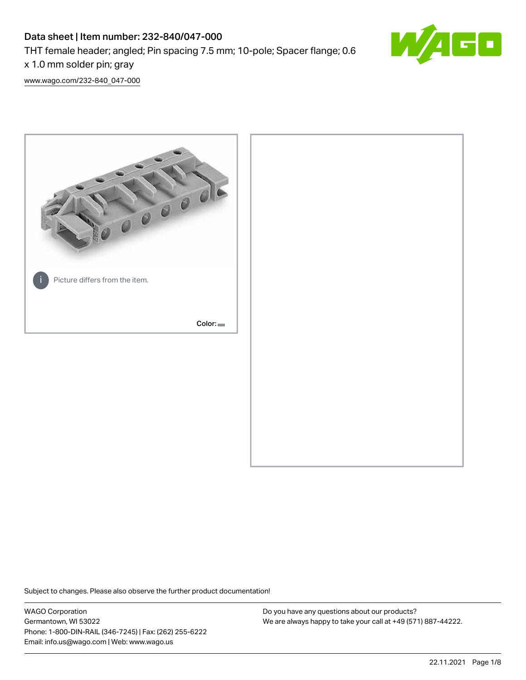# Data sheet | Item number: 232-840/047-000

THT female header; angled; Pin spacing 7.5 mm; 10-pole; Spacer flange; 0.6

x 1.0 mm solder pin; gray

[www.wago.com/232-840\\_047-000](http://www.wago.com/232-840_047-000)



Subject to changes. Please also observe the further product documentation!

WAGO Corporation Germantown, WI 53022 Phone: 1-800-DIN-RAIL (346-7245) | Fax: (262) 255-6222 Email: info.us@wago.com | Web: www.wago.us

Do you have any questions about our products? We are always happy to take your call at +49 (571) 887-44222.

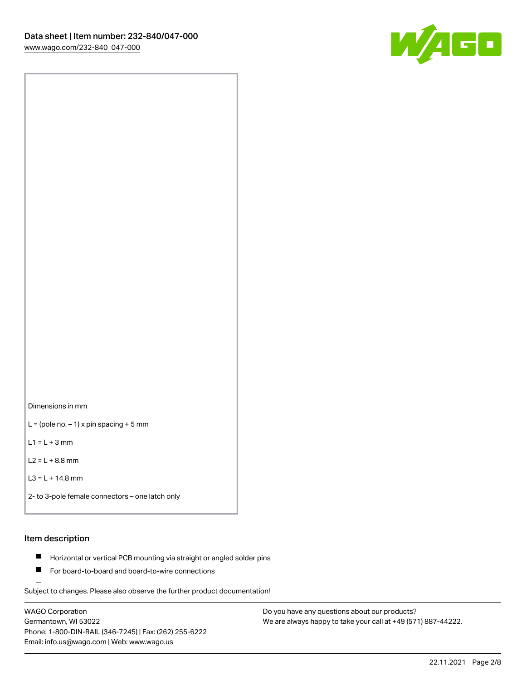

Dimensions in mm

 $L =$  (pole no.  $-1$ ) x pin spacing + 5 mm

 $L1 = L + 3$  mm

 $L2 = L + 8.8$  mm

```
L3 = L + 14.8 mm
```
2- to 3-pole female connectors – one latch only

#### Item description

- **Horizontal or vertical PCB mounting via straight or angled solder pins**
- For board-to-board and board-to-wire connections

Subject to changes. Please also observe the further product documentation!

WAGO Corporation Germantown, WI 53022 Phone: 1-800-DIN-RAIL (346-7245) | Fax: (262) 255-6222 Email: info.us@wago.com | Web: www.wago.us

Do you have any questions about our products? We are always happy to take your call at +49 (571) 887-44222.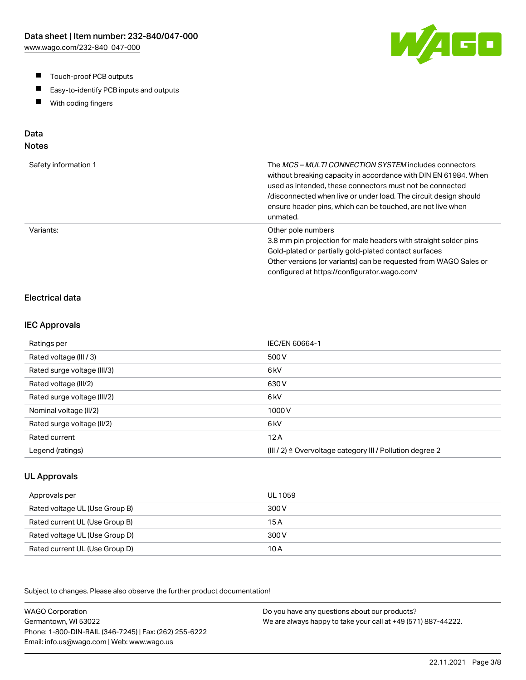- $\blacksquare$ Touch-proof PCB outputs
- $\blacksquare$ Easy-to-identify PCB inputs and outputs
- With coding fingers  $\blacksquare$

# Data

# Notes

| Safety information 1 | The <i>MCS – MULTI CONNECTION SYSTEM</i> includes connectors<br>without breaking capacity in accordance with DIN EN 61984. When<br>used as intended, these connectors must not be connected<br>/disconnected when live or under load. The circuit design should<br>ensure header pins, which can be touched, are not live when<br>unmated. |
|----------------------|--------------------------------------------------------------------------------------------------------------------------------------------------------------------------------------------------------------------------------------------------------------------------------------------------------------------------------------------|
| Variants:            | Other pole numbers<br>3.8 mm pin projection for male headers with straight solder pins<br>Gold-plated or partially gold-plated contact surfaces<br>Other versions (or variants) can be requested from WAGO Sales or<br>configured at https://configurator.wago.com/                                                                        |

## Electrical data

#### IEC Approvals

| Ratings per                 | IEC/EN 60664-1                                                       |
|-----------------------------|----------------------------------------------------------------------|
| Rated voltage (III / 3)     | 500 V                                                                |
| Rated surge voltage (III/3) | 6 <sub>kV</sub>                                                      |
| Rated voltage (III/2)       | 630 V                                                                |
| Rated surge voltage (III/2) | 6 <sub>k</sub> V                                                     |
| Nominal voltage (II/2)      | 1000V                                                                |
| Rated surge voltage (II/2)  | 6 <sub>k</sub> V                                                     |
| Rated current               | 12A                                                                  |
| Legend (ratings)            | (III / 2) $\triangleq$ Overvoltage category III / Pollution degree 2 |

#### UL Approvals

| Approvals per                  | UL 1059 |
|--------------------------------|---------|
| Rated voltage UL (Use Group B) | 300 V   |
| Rated current UL (Use Group B) | 15 A    |
| Rated voltage UL (Use Group D) | 300 V   |
| Rated current UL (Use Group D) | 10 A    |

Subject to changes. Please also observe the further product documentation!

WAGO Corporation Germantown, WI 53022 Phone: 1-800-DIN-RAIL (346-7245) | Fax: (262) 255-6222 Email: info.us@wago.com | Web: www.wago.us Do you have any questions about our products? We are always happy to take your call at +49 (571) 887-44222.

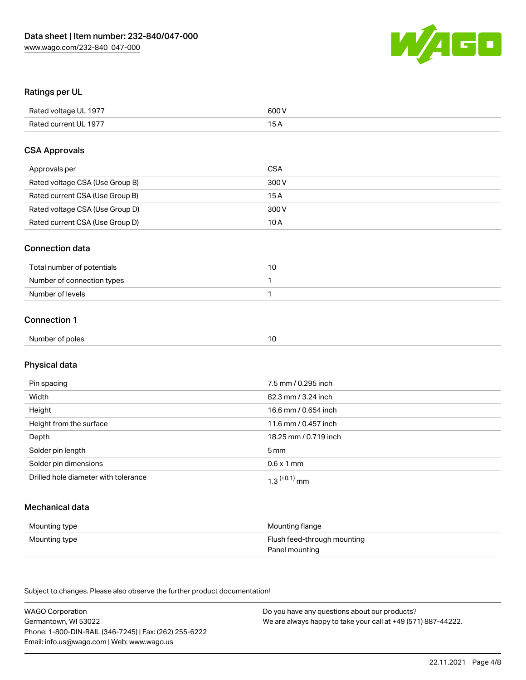

#### Ratings per UL

| Rated voltage UL 1977 | 600 V |
|-----------------------|-------|
| Rated current UL 1977 | ЭA    |

#### CSA Approvals

| Approvals per                   | CSA   |
|---------------------------------|-------|
| Rated voltage CSA (Use Group B) | 300 V |
| Rated current CSA (Use Group B) | 15 A  |
| Rated voltage CSA (Use Group D) | 300 V |
| Rated current CSA (Use Group D) | 10 A  |

#### Connection data

| Total number of potentials |  |
|----------------------------|--|
| Number of connection types |  |
| Number of levels           |  |

## Connection 1

| . .<br>Num<br>of poles<br>nner o<br>.<br>. |  |
|--------------------------------------------|--|
|--------------------------------------------|--|

# Physical data

| Pin spacing                          | 7.5 mm / 0.295 inch   |
|--------------------------------------|-----------------------|
| Width                                | 82.3 mm / 3.24 inch   |
| Height                               | 16.6 mm / 0.654 inch  |
| Height from the surface              | 11.6 mm / 0.457 inch  |
| Depth                                | 18.25 mm / 0.719 inch |
| Solder pin length                    | 5 mm                  |
| Solder pin dimensions                | $0.6 \times 1$ mm     |
| Drilled hole diameter with tolerance | $1.3$ $(+0.1)$ mm     |

## Mechanical data

| Mounting type | Mounting flange             |
|---------------|-----------------------------|
| Mounting type | Flush feed-through mounting |
|               | Panel mounting              |

Subject to changes. Please also observe the further product documentation!

| <b>WAGO Corporation</b>                                | Do you have any questions about our products?                 |
|--------------------------------------------------------|---------------------------------------------------------------|
| Germantown, WI 53022                                   | We are always happy to take your call at +49 (571) 887-44222. |
| Phone: 1-800-DIN-RAIL (346-7245)   Fax: (262) 255-6222 |                                                               |
| Email: info.us@wago.com   Web: www.wago.us             |                                                               |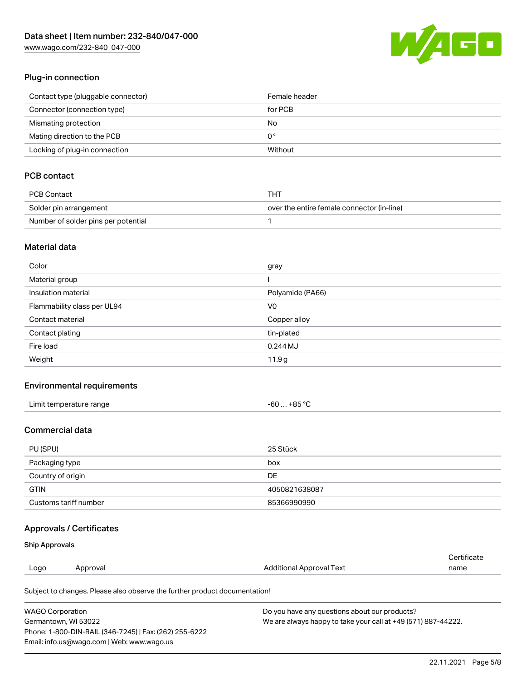[www.wago.com/232-840\\_047-000](http://www.wago.com/232-840_047-000)



#### Plug-in connection

| Contact type (pluggable connector) | Female header |
|------------------------------------|---------------|
| Connector (connection type)        | for PCB       |
| Mismating protection               | No            |
| Mating direction to the PCB        | 0°            |
| Locking of plug-in connection      | Without       |

## PCB contact

| PCB Contact                         | THT                                        |
|-------------------------------------|--------------------------------------------|
| Solder pin arrangement              | over the entire female connector (in-line) |
| Number of solder pins per potential |                                            |

### Material data

| Color                       | gray             |
|-----------------------------|------------------|
| Material group              |                  |
| Insulation material         | Polyamide (PA66) |
| Flammability class per UL94 | V <sub>0</sub>   |
| Contact material            | Copper alloy     |
| Contact plating             | tin-plated       |
| Fire load                   | $0.244$ MJ       |
| Weight                      | 11.9g            |

## Environmental requirements

| Limit temperature range | $-60+85 °C$ |
|-------------------------|-------------|
|-------------------------|-------------|

### Commercial data

| PU (SPU)              | 25 Stück      |
|-----------------------|---------------|
| Packaging type        | box           |
| Country of origin     | <b>DE</b>     |
| <b>GTIN</b>           | 4050821638087 |
| Customs tariff number | 85366990990   |

## Approvals / Certificates

### Ship Approvals

|      |          |                          | Certificate |
|------|----------|--------------------------|-------------|
| Logo | Approval | Additional Approval Text | name        |
|      |          |                          |             |

Subject to changes. Please also observe the further product documentation!

| <b>WAGO Corporation</b>                                | Do you have any questions about our products?                 |
|--------------------------------------------------------|---------------------------------------------------------------|
| Germantown, WI 53022                                   | We are always happy to take your call at +49 (571) 887-44222. |
| Phone: 1-800-DIN-RAIL (346-7245)   Fax: (262) 255-6222 |                                                               |
| Email: info.us@wago.com   Web: www.wago.us             |                                                               |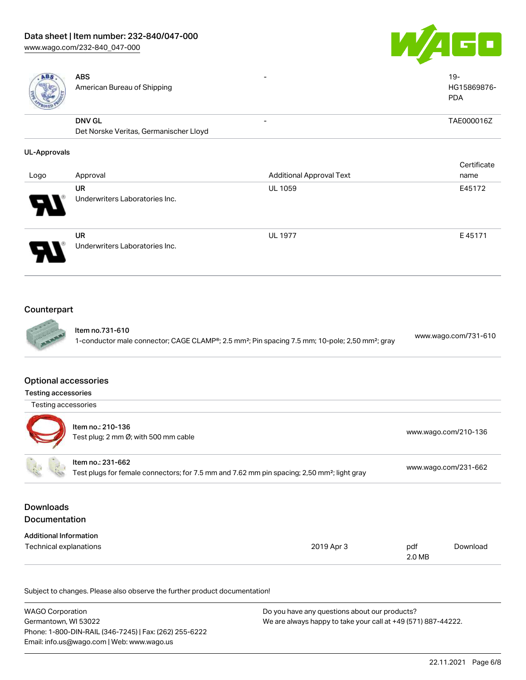# Data sheet | Item number: 232-840/047-000

[www.wago.com/232-840\\_047-000](http://www.wago.com/232-840_047-000)





| ABS                                                            | <b>ABS</b><br>American Bureau of Shipping                                                                                    |                                                                                                                         |               | $19 -$<br>HG15869876-<br><b>PDA</b> |
|----------------------------------------------------------------|------------------------------------------------------------------------------------------------------------------------------|-------------------------------------------------------------------------------------------------------------------------|---------------|-------------------------------------|
|                                                                | <b>DNV GL</b><br>Det Norske Veritas, Germanischer Lloyd                                                                      |                                                                                                                         |               | TAE000016Z                          |
| <b>UL-Approvals</b>                                            |                                                                                                                              |                                                                                                                         |               |                                     |
| Logo                                                           | Approval                                                                                                                     | <b>Additional Approval Text</b>                                                                                         |               | Certificate<br>name                 |
|                                                                | <b>UR</b><br>Underwriters Laboratories Inc.                                                                                  | UL 1059                                                                                                                 |               | E45172                              |
|                                                                | <b>UR</b><br>Underwriters Laboratories Inc.                                                                                  | <b>UL 1977</b>                                                                                                          |               | E45171                              |
| Counterpart                                                    | Item no.731-610                                                                                                              | 1-conductor male connector; CAGE CLAMP®; 2.5 mm <sup>2</sup> ; Pin spacing 7.5 mm; 10-pole; 2,50 mm <sup>2</sup> ; gray |               | www.wago.com/731-610                |
| <b>Optional accessories</b>                                    |                                                                                                                              |                                                                                                                         |               |                                     |
| <b>Testing accessories</b><br>Testing accessories              |                                                                                                                              |                                                                                                                         |               |                                     |
|                                                                | Item no.: 210-136<br>Test plug; 2 mm Ø; with 500 mm cable                                                                    |                                                                                                                         |               | www.wago.com/210-136                |
|                                                                | Item no.: 231-662<br>Test plugs for female connectors; for 7.5 mm and 7.62 mm pin spacing; 2,50 mm <sup>2</sup> ; light gray |                                                                                                                         |               | www.wago.com/231-662                |
| <b>Downloads</b><br>Documentation                              |                                                                                                                              |                                                                                                                         |               |                                     |
| <b>Additional Information</b><br><b>Technical explanations</b> |                                                                                                                              | 2019 Apr 3                                                                                                              | pdf<br>2.0 MB | Download                            |

Subject to changes. Please also observe the further product documentation!

| WAGO Corporation                                       | Do you have any questions about our products?                 |
|--------------------------------------------------------|---------------------------------------------------------------|
| Germantown, WI 53022                                   | We are always happy to take your call at +49 (571) 887-44222. |
| Phone: 1-800-DIN-RAIL (346-7245)   Fax: (262) 255-6222 |                                                               |
| Email: info.us@wago.com   Web: www.wago.us             |                                                               |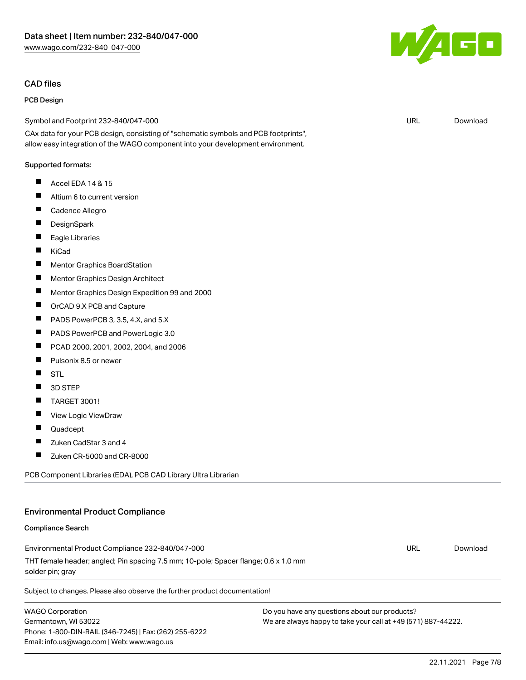#### CAD files

#### PCB Design

Symbol and Footprint 232-840/047-000

CAx data for your PCB design, consisting of "schematic symbols and PCB footprints", allow easy integration of the WAGO component into your development environment.

#### Supported formats:

- $\blacksquare$ Accel EDA 14 & 15
- $\blacksquare$ Altium 6 to current version
- П Cadence Allegro
- П **DesignSpark**
- $\blacksquare$ Eagle Libraries
- $\blacksquare$ KiCad
- $\blacksquare$ Mentor Graphics BoardStation
- $\blacksquare$ Mentor Graphics Design Architect
- П Mentor Graphics Design Expedition 99 and 2000
- П OrCAD 9.X PCB and Capture
- **The State** PADS PowerPCB 3, 3.5, 4.X, and 5.X
- $\blacksquare$ PADS PowerPCB and PowerLogic 3.0
- $\blacksquare$ PCAD 2000, 2001, 2002, 2004, and 2006
- П Pulsonix 8.5 or newer
- П STL
- П 3D STEP
- П TARGET 3001!
- $\blacksquare$ View Logic ViewDraw
- П Quadcept
- П Zuken CadStar 3 and 4
- $\blacksquare$ Zuken CR-5000 and CR-8000

PCB Component Libraries (EDA), PCB CAD Library Ultra Librarian

#### Environmental Product Compliance

#### Compliance Search

Environmental Product Compliance 232-840/047-000 THT female header; angled; Pin spacing 7.5 mm; 10-pole; Spacer flange; 0.6 x 1.0 mm solder pin; gray

Subject to changes. Please also observe the further product documentation!

WAGO Corporation Germantown, WI 53022 Phone: 1-800-DIN-RAIL (346-7245) | Fax: (262) 255-6222 Email: info.us@wago.com | Web: www.wago.us

Do you have any questions about our products? We are always happy to take your call at +49 (571) 887-44222.



URL [Download](https://www.wago.com/global/d/UltraLibrarian_URLS_232-840_047-000)

URL [Download](https://www.wago.com/global/d/ComplianceLinkMediaContainer_232-840_047-000)